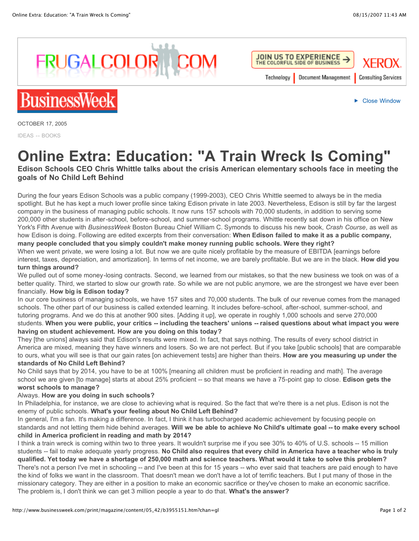



**JOIN US TO EXPERIENCE XFROX** THE COLORFUL SIDE OF BUSINESS Technology **Document Management Consulting Services** 

Close Window

OCTOBER 17, 2005

IDEAS -- BOOKS

## **Online Extra: Education: "A Train Wreck Is Coming"**

## **Edison Schools CEO Chris Whittle talks about the crisis American elementary schools face in meeting the goals of No Child Left Behind**

During the four years Edison Schools was a public company (1999-2003), CEO Chris Whittle seemed to always be in the media spotlight. But he has kept a much lower profile since taking Edison private in late 2003. Nevertheless, Edison is still by far the largest company in the business of managing public schools. It now runs 157 schools with 70,000 students, in addition to serving some 200,000 other students in after-school, before-school, and summer-school programs. Whittle recently sat down in his office on New York's Fifth Avenue with *BusinessWeek* Boston Bureau Chief William C. Symonds to discuss his new book, *Crash Course*, as well as how Edison is doing. Following are edited excerpts from their conversation: **When Edison failed to make it as a public company, many people concluded that you simply couldn't make money running public schools. Were they right?**

When we went private, we were losing a lot. But now we are quite nicely profitable by the measure of EBITDA [earnings before interest, taxes, depreciation, and amortization]. In terms of net income, we are barely profitable. But we are in the black. **How did you turn things around?**

We pulled out of some money-losing contracts. Second, we learned from our mistakes, so that the new business we took on was of a better quality. Third, we started to slow our growth rate. So while we are not public anymore, we are the strongest we have ever been financially. **How big is Edison today?**

In our core business of managing schools, we have 157 sites and 70,000 students. The bulk of our revenue comes from the managed schools. The other part of our business is called extended learning. It includes before-school, after-school, summer-school, and tutoring programs. And we do this at another 900 sites. [Adding it up], we operate in roughly 1,000 schools and serve 270,000 students. When you were public, your critics -- including the teachers' unions -- raised questions about what impact you were **having on student achievement. How are you doing on this today?**

They [the unions] always said that Edison's results were mixed. In fact, that says nothing. The results of every school district in America are mixed, meaning they have winners and losers. So we are not perfect. But if you take [public schools] that are comparable to ours, what you will see is that our gain rates [on achievement tests] are higher than theirs. **How are you measuring up under the standards of No Child Left Behind?**

No Child says that by 2014, you have to be at 100% [meaning all children must be proficient in reading and math]. The average school we are given [to manage] starts at about 25% proficient -- so that means we have a 75-point gap to close. **Edison gets the worst schools to manage?**

## Always. **How are you doing in such schools?**

In Philadelphia, for instance, we are close to achieving what is required. So the fact that we're there is a net plus. Edison is not the enemy of public schools. **What's your feeling about No Child Left Behind?**

In general, I'm a fan. It's making a difference. In fact, I think it has turbocharged academic achievement by focusing people on standards and not letting them hide behind averages. **Will we be able to achieve No Child's ultimate goal -- to make every school child in America proficient in reading and math by 2014?**

I think a train wreck is coming within two to three years. It wouldn't surprise me if you see 30% to 40% of U.S. schools -- 15 million students -- fail to make adequate yearly progress. **No Child also requires that every child in America have a teacher who is truly** qualified. Yet today we have a shortage of 250,000 math and science teachers. What would it take to solve this problem? There's not a person I've met in schooling -- and I've been at this for 15 years -- who ever said that teachers are paid enough to have the kind of folks we want in the classroom. That doesn't mean we don't have a lot of terrific teachers. But I put many of those in the missionary category. They are either in a position to make an economic sacrifice or they've chosen to make an economic sacrifice. The problem is, I don't think we can get 3 million people a year to do that. **What's the answer?**